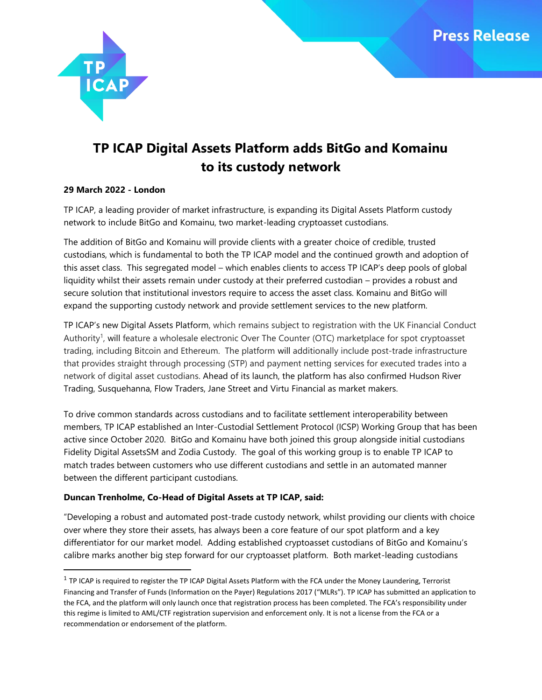

# **TP ICAP Digital Assets Platform adds BitGo and Komainu to its custody network**

# **29 March 2022 - London**

 $\overline{\phantom{a}}$ 

TP ICAP, a leading provider of market infrastructure, is expanding its Digital Assets Platform custody network to include BitGo and Komainu, two market-leading cryptoasset custodians.

The addition of BitGo and Komainu will provide clients with a greater choice of credible, trusted custodians, which is fundamental to both the TP ICAP model and the continued growth and adoption of this asset class. This segregated model – which enables clients to access TP ICAP's deep pools of global liquidity whilst their assets remain under custody at their preferred custodian – provides a robust and secure solution that institutional investors require to access the asset class. Komainu and BitGo will expand the supporting custody network and provide settlement services to the new platform.

TP ICAP's new Digital Assets Platform, which remains subject to registration with the UK Financial Conduct Authority<sup>1</sup>, will feature a wholesale electronic Over The Counter (OTC) marketplace for spot cryptoasset trading, including Bitcoin and Ethereum. The platform will additionally include post-trade infrastructure that provides straight through processing (STP) and payment netting services for executed trades into a network of digital asset custodians. Ahead of its launch, the platform has also confirmed Hudson River Trading, Susquehanna, Flow Traders, Jane Street and Virtu Financial as market makers.

To drive common standards across custodians and to facilitate settlement interoperability between members, TP ICAP established an Inter-Custodial Settlement Protocol (ICSP) Working Group that has been active since October 2020. BitGo and Komainu have both joined this group alongside initial custodians Fidelity Digital AssetsSM and Zodia Custody. The goal of this working group is to enable TP ICAP to match trades between customers who use different custodians and settle in an automated manner between the different participant custodians.

# **Duncan Trenholme, Co-Head of Digital Assets at TP ICAP, said:**

"Developing a robust and automated post-trade custody network, whilst providing our clients with choice over where they store their assets, has always been a core feature of our spot platform and a key differentiator for our market model. Adding established cryptoasset custodians of BitGo and Komainu's calibre marks another big step forward for our cryptoasset platform. Both market-leading custodians

 $^1$  TP ICAP is required to register the TP ICAP Digital Assets Platform with the FCA under the Money Laundering, Terrorist Financing and Transfer of Funds (Information on the Payer) Regulations 2017 ("MLRs"). TP ICAP has submitted an application to the FCA, and the platform will only launch once that registration process has been completed. The FCA's responsibility under this regime is limited to AML/CTF registration supervision and enforcement only. It is not a license from the FCA or a recommendation or endorsement of the platform.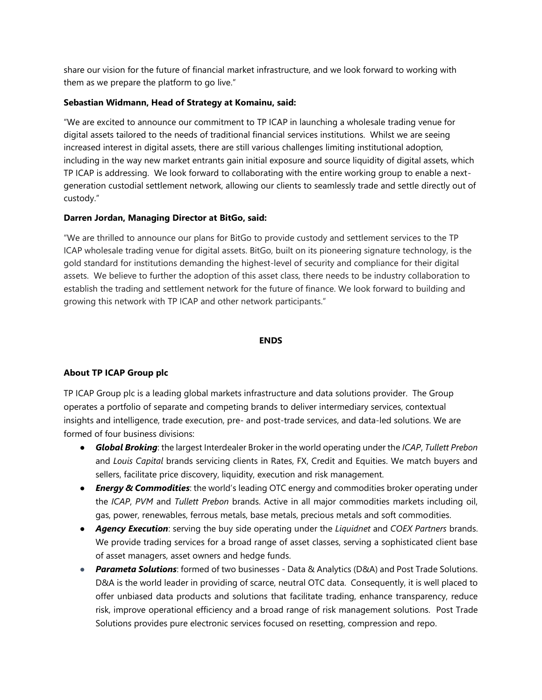share our vision for the future of financial market infrastructure, and we look forward to working with them as we prepare the platform to go live."

# **Sebastian Widmann, Head of Strategy at Komainu, said:**

"We are excited to announce our commitment to TP ICAP in launching a wholesale trading venue for digital assets tailored to the needs of traditional financial services institutions. Whilst we are seeing increased interest in digital assets, there are still various challenges limiting institutional adoption, including in the way new market entrants gain initial exposure and source liquidity of digital assets, which TP ICAP is addressing. We look forward to collaborating with the entire working group to enable a nextgeneration custodial settlement network, allowing our clients to seamlessly trade and settle directly out of custody."

# **Darren Jordan, Managing Director at BitGo, said:**

"We are thrilled to announce our plans for BitGo to provide custody and settlement services to the TP ICAP wholesale trading venue for digital assets. BitGo, built on its pioneering signature technology, is the gold standard for institutions demanding the highest-level of security and compliance for their digital assets. We believe to further the adoption of this asset class, there needs to be industry collaboration to establish the trading and settlement network for the future of finance. We look forward to building and growing this network with TP ICAP and other network participants."

## **ENDS**

# **About TP ICAP Group plc**

TP ICAP Group plc is a leading global markets infrastructure and data solutions provider. The Group operates a portfolio of separate and competing brands to deliver intermediary services, contextual insights and intelligence, trade execution, pre- and post-trade services, and data-led solutions. We are formed of four business divisions:

- *Global Broking*: the largest Interdealer Broker in the world operating under the *ICAP*, *Tullett Prebon* and *Louis Capital* brands servicing clients in Rates, FX, Credit and Equities. We match buyers and sellers, facilitate price discovery, liquidity, execution and risk management*.*
- *Energy & Commodities*: the world's leading OTC energy and commodities broker operating under the *ICAP*, *PVM* and *Tullett Prebon* brands. Active in all major commodities markets including oil, gas, power, renewables, ferrous metals, base metals, precious metals and soft commodities.
- *Agency Execution*: serving the buy side operating under the *Liquidnet* and *COEX Partners* brands. We provide trading services for a broad range of asset classes, serving a sophisticated client base of asset managers, asset owners and hedge funds.
- *Parameta Solutions*: formed of two businesses Data & Analytics (D&A) and Post Trade Solutions. D&A is the world leader in providing of scarce, neutral OTC data. Consequently, it is well placed to offer unbiased data products and solutions that facilitate trading, enhance transparency, reduce risk, improve operational efficiency and a broad range of risk management solutions. Post Trade Solutions provides pure electronic services focused on resetting, compression and repo.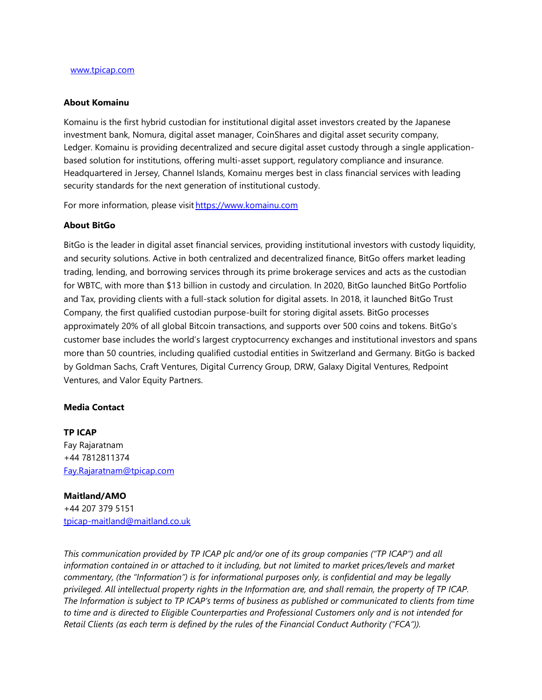### **About Komainu**

Komainu is the first hybrid custodian for institutional digital asset investors created by the Japanese investment bank, Nomura, digital asset manager, CoinShares and digital asset security company, Ledger. Komainu is providing decentralized and secure digital asset custody through a single applicationbased solution for institutions, offering multi-asset support, regulatory compliance and insurance. Headquartered in Jersey, Channel Islands, Komainu merges best in class financial services with leading security standards for the next generation of institutional custody.  

For more information, please visit https://www.komainu.com

#### **About BitGo**

BitGo is the leader in digital asset financial services, providing institutional investors with custody liquidity, and security solutions. Active in both centralized and decentralized finance, BitGo offers market leading trading, lending, and borrowing services through its prime brokerage services and acts as the custodian for WBTC, with more than \$13 billion in custody and circulation. In 2020, BitGo launched BitGo Portfolio and Tax, providing clients with a full-stack solution for digital assets. In 2018, it launched BitGo Trust Company, the first qualified custodian purpose-built for storing digital assets. BitGo processes approximately 20% of all global Bitcoin transactions, and supports over 500 coins and tokens. BitGo's customer base includes the world's largest cryptocurrency exchanges and institutional investors and spans more than 50 countries, including qualified custodial entities in Switzerland and Germany. BitGo is backed by Goldman Sachs, Craft Ventures, Digital Currency Group, DRW, Galaxy Digital Ventures, Redpoint Ventures, and Valor Equity Partners.

## **Media Contact**

## **TP ICAP**

Fay Rajaratnam +44 7812811374 [Fay.Rajaratnam@tpicap.com](mailto:Fay.Rajaratnam@tpicap.com)

## **Maitland/AMO**

+44 207 379 5151 [tpicap-maitland@maitland.co.uk](mailto:tpicap-maitland@maitland.co.uk)

*This communication provided by TP ICAP plc and/or one of its group companies ("TP ICAP") and all information contained in or attached to it including, but not limited to market prices/levels and market commentary, (the "Information") is for informational purposes only, is confidential and may be legally privileged. All intellectual property rights in the Information are, and shall remain, the property of TP ICAP. The Information is subject to TP ICAP's terms of business as published or communicated to clients from time to time and is directed to Eligible Counterparties and Professional Customers only and is not intended for Retail Clients (as each term is defined by the rules of the Financial Conduct Authority ("FCA")).*